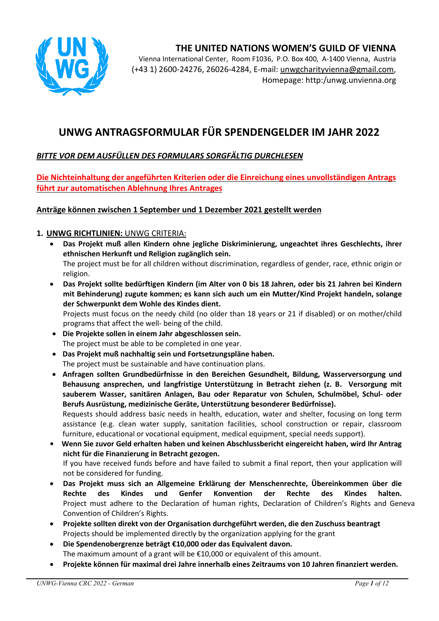



Vienna International Center, Room F1036, P.O. Box 400, A-1400 Vienna, Austria (+43 1) 2600-24276, 26026-4284, E-mail: unwgcharityvienna@gmail.com, Homepage: http:/unwg.unvienna.org

## **UNWG ANTRAGSFORMULAR FÜR SPENDENGELDER IM JAHR 2022**

## *BITTE VOR DEM AUSFÜLLEN DES FORMULARS SORGFÄLTIG DURCHLESEN*

**Die Nichteinhaltung der angeführten Kriterien oder die Einreichung eines unvollständigen Antrags führt zur automatischen Ablehnung Ihres Antrages** 

#### **Anträge können zwischen 1 September und 1 Dezember 2021 gestellt werden**

#### **1. UNWG RICHTLINIEN:** UNWG CRITERIA:

- **Das Projekt muß allen Kindern ohne jegliche Diskriminierung, ungeachtet ihres Geschlechts, ihrer ethnischen Herkunft und Religion zugänglich sein.**  The project must be for all children without discrimination, regardless of gender, race, ethnic origin or religion.
- **Das Projekt sollte bedürftigen Kindern (im Alter von 0 bis 18 Jahren, oder bis 21 Jahren bei Kindern mit Behinderung) zugute kommen; es kann sich auch um ein Mutter/Kind Projekt handeln, solange der Schwerpunkt dem Wohle des Kindes dient.**

Projects must focus on the needy child (no older than 18 years or 21 if disabled) or on mother/child programs that affect the well- being of the child.

- **Die Projekte sollen in einem Jahr abgeschlossen sein.**  The project must be able to be completed in one year.
- **Das Projekt muß nachhaltig sein und Fortsetzungspläne haben.** The project must be sustainable and have continuation plans.
- **Anfragen sollten Grundbedürfnisse in den Bereichen Gesundheit, Bildung, Wasserversorgung und Behausung ansprechen, und langfristige Unterstützung in Betracht ziehen (z. B. Versorgung mit sauberem Wasser, sanitären Anlagen, Bau oder Reparatur von Schulen, Schulmöbel, Schul- oder Berufs Ausrüstung, medizinische Geräte, Unterstützung besonderer Bedürfnisse).** Requests should address basic needs in health, education, water and shelter, focusing on long term

assistance (e.g. clean water supply, sanitation facilities, school construction or repair, classroom furniture, educational or vocational equipment, medical equipment, special needs support).

- **Wenn Sie zuvor Geld erhalten haben und keinen Abschlussbericht eingereicht haben, wird Ihr Antrag nicht für die Finanzierung in Betracht gezogen.**  If you have received funds before and have failed to submit a final report, then your application will not be considered for funding.
- **Das Projekt muss sich an Allgemeine Erklärung der Menschenrechte, Übereinkommen über die Rechte des Kindes und Genfer Konvention der Rechte des Kindes halten.** Project must adhere to the Declaration of human rights, Declaration of Children's Rights and Geneva Convention of Children's Rights.
- **Projekte sollten direkt von der Organisation durchgeführt werden, die den Zuschuss beantragt**  Projects should be implemented directly by the organization applying for the grant
- **Die Spendenobergrenze beträgt €10,000 oder das Equivalent davon.**  The maximum amount of a grant will be €10,000 or equivalent of this amount.
- **Projekte können für maximal drei Jahre innerhalb eines Zeitraums von 10 Jahren finanziert werden.**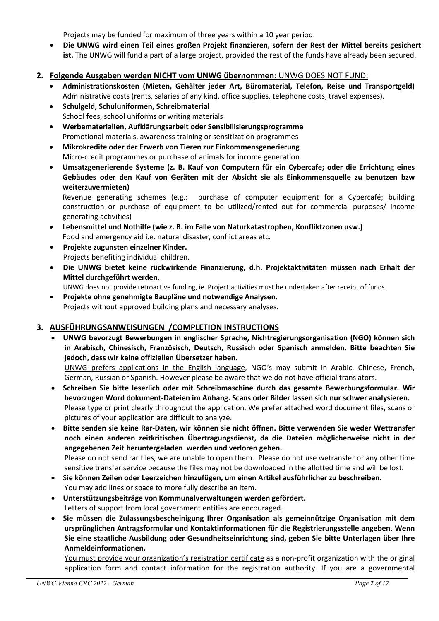Projects may be funded for maximum of three years within a 10 year period.

 **Die UNWG wird einen Teil eines großen Projekt finanzieren, sofern der Rest der Mittel bereits gesichert ist.** The UNWG will fund a part of a large project, provided the rest of the funds have already been secured.

#### **2. Folgende Ausgaben werden NICHT vom UNWG übernommen:** UNWG DOES NOT FUND:

- **Administrationskosten (Mieten, Gehälter jeder Art, Büromaterial, Telefon, Reise und Transportgeld)** Administrative costs (rents, salaries of any kind, office supplies, telephone costs, travel expenses).
- **Schulgeld, Schuluniformen, Schreibmaterial** School fees, school uniforms or writing materials
- **Werbematerialien, Aufklärungsarbeit oder Sensibilisierungsprogramme**  Promotional materials, awareness training or sensitization programmes
- **Mikrokredite oder der Erwerb von Tieren zur Einkommensgenerierung** Micro-credit programmes or purchase of animals for income generation
- **Umsatzgenerierende Systeme (z. B. Kauf von Computern für ein Cybercafe; oder die Errichtung eines Gebäudes oder den Kauf von Geräten mit der Absicht sie als Einkommensquelle zu benutzen bzw weiterzuvermieten)**

Revenue generating schemes (e.g.: purchase of computer equipment for a Cybercafé; building construction or purchase of equipment to be utilized/rented out for commercial purposes/ income generating activities)

- **Lebensmittel und Nothilfe (wie z. B. im Falle von Naturkatastrophen, Konfliktzonen usw.)**  Food and emergency aid i.e. natural disaster, conflict areas etc.
- **Projekte zugunsten einzelner Kinder.**  Projects benefiting individual children.
- **Die UNWG bietet keine rückwirkende Finanzierung, d.h. Projektaktivitäten müssen nach Erhalt der Mittel durchgeführt werden.**

UNWG does not provide retroactive funding, ie. Project activities must be undertaken after receipt of funds.

 **Projekte ohne genehmigte Baupläne und notwendige Analysen.**  Projects without approved building plans and necessary analyses.

#### **3. AUSFÜHRUNGSANWEISUNGEN /COMPLETION INSTRUCTIONS**

- **UNWG bevorzugt Bewerbungen in englischer Sprache, Nichtregierungsorganisation (NGO) können sich in Arabisch, Chinesisch, Französisch, Deutsch, Russisch oder Spanisch anmelden. Bitte beachten Sie jedoch, dass wir keine offiziellen Übersetzer haben.**  UNWG prefers applications in the English language, NGO's may submit in Arabic, Chinese, French, German, Russian or Spanish. However please be aware that we do not have official translators.
- **Schreiben Sie bitte leserlich oder mit Schreibmaschine durch das gesamte Bewerbungsformular. Wir bevorzugen Word dokument-Dateien im Anhang. Scans oder Bilder lassen sich nur schwer analysieren.**  Please type or print clearly throughout the application. We prefer attached word document files, scans or pictures of your application are difficult to analyze.
- **Bitte senden sie keine Rar-Daten, wir können sie nicht öffnen. Bitte verwenden Sie weder Wettransfer noch einen anderen zeitkritischen Übertragungsdienst, da die Dateien möglicherweise nicht in der angegebenen Zeit heruntergeladen werden und verloren gehen.**  Please do not send rar files, we are unable to open them. Please do not use wetransfer or any other time sensitive transfer service because the files may not be downloaded in the allotted time and will be lost.
- S**ie können Zeilen oder Leerzeichen hinzufügen, um einen Artikel ausführlicher zu beschreiben.** You may add lines or space to more fully describe an item.
- **Unterstützungsbeiträge von Kommunalverwaltungen werden gefördert.** Letters of support from local government entities are encouraged.
- **Sie müssen die Zulassungsbescheinigung Ihrer Organisation als gemeinnützige Organisation mit dem ursprünglichen Antragsformular und Kontaktinformationen für die Registrierungsstelle angeben. Wenn Sie eine staatliche Ausbildung oder Gesundheitseinrichtung sind, geben Sie bitte Unterlagen über Ihre Anmeldeinformationen.**

You must provide your organization's registration certificate as a non-profit organization with the original application form and contact information for the registration authority. If you are a governmental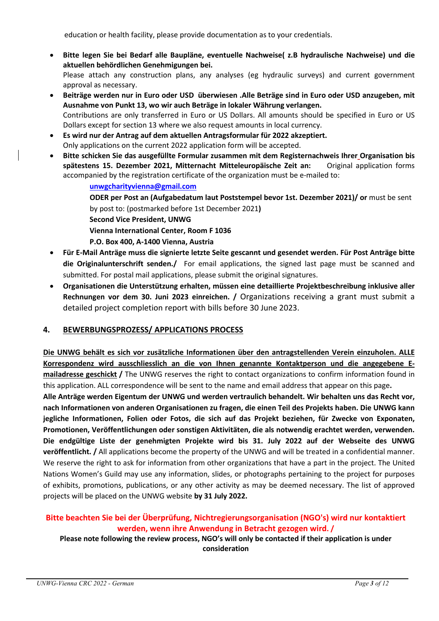education or health facility, please provide documentation as to your credentials.

- **Bitte legen Sie bei Bedarf alle Baupläne, eventuelle Nachweise( z.B hydraulische Nachweise) und die aktuellen behördlichen Genehmigungen bei.**  Please attach any construction plans, any analyses (eg hydraulic surveys) and current government approval as necessary.
- **Beiträge werden nur in Euro oder USD überwiesen .Alle Beträge sind in Euro oder USD anzugeben, mit Ausnahme von Punkt 13, wo wir auch Beträge in lokaler Währung verlangen.**  Contributions are only transferred in Euro or US Dollars. All amounts should be specified in Euro or US Dollars except for section 13 where we also request amounts in local currency.
- **Es wird nur der Antrag auf dem aktuellen Antragsformular für 2022 akzeptiert.**  Only applications on the current 2022 application form will be accepted.
- **Bitte schicken Sie das ausgefüllte Formular zusammen mit dem Registernachweis Ihrer Organisation bis spätestens 15. Dezember 2021, Mitternacht Mitteleuropäische Zeit an:** Original application forms accompanied by the registration certificate of the organization must be e-mailed to:

**unwgcharityvienna@gmail.com ODER per Post an (Aufgabedatum laut Poststempel bevor 1st. Dezember 2021)/ or** must be sent by post to: (postmarked before 1st December 2021**) Second Vice President, UNWG Vienna International Center, Room F 1036 P.O. Box 400, A-1400 Vienna, Austria** 

- **Für E-Mail Anträge muss die signierte letzte Seite gescannt und gesendet werden. Für Post Anträge bitte die Originalunterschrift senden./** For email applications, the signed last page must be scanned and submitted. For postal mail applications, please submit the original signatures.
- **Organisationen die Unterstützung erhalten, müssen eine detaillierte Projektbeschreibung inklusive aller Rechnungen vor dem 30. Juni 2023 einreichen. /** Organizations receiving a grant must submit a detailed project completion report with bills before 30 June 2023.

#### **4. BEWERBUNGSPROZESS/ APPLICATIONS PROCESS**

**Die UNWG behält es sich vor zusätzliche Informationen über den antragstellenden Verein einzuholen. ALLE Korrespondenz wird ausschliesslich an die von Ihnen genannte Kontaktperson und die angegebene Emailadresse geschickt /** The UNWG reserves the right to contact organizations to confirm information found in this application. ALL correspondence will be sent to the name and email address that appear on this page**.** 

**Alle Anträge werden Eigentum der UNWG und werden vertraulich behandelt. Wir behalten uns das Recht vor, nach Informationen von anderen Organisationen zu fragen, die einen Teil des Projekts haben. Die UNWG kann jegliche Informationen, Folien oder Fotos, die sich auf das Projekt beziehen, für Zwecke von Exponaten, Promotionen, Veröffentlichungen oder sonstigen Aktivitäten, die als notwendig erachtet werden, verwenden. Die endgültige Liste der genehmigten Projekte wird bis 31. July 2022 auf der Webseite des UNWG veröffentlicht. /** All applications become the property of the UNWG and will be treated in a confidential manner. We reserve the right to ask for information from other organizations that have a part in the project. The United Nations Women's Guild may use any information, slides, or photographs pertaining to the project for purposes of exhibits, promotions, publications, or any other activity as may be deemed necessary. The list of approved projects will be placed on the UNWG website **by 31 July 2022.** 

## **Bitte beachten Sie bei der Überprüfung, Nichtregierungsorganisation (NGO's) wird nur kontaktiert werden, wenn ihre Anwendung in Betracht gezogen wird. /**

**Please note following the review process, NGO's will only be contacted if their application is under consideration**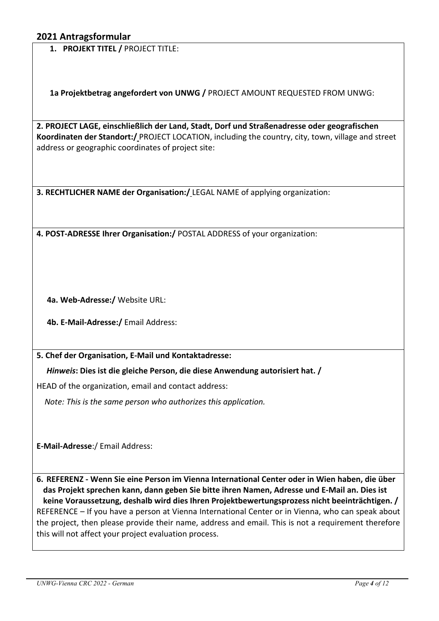**1. PROJEKT TITEL /** PROJECT TITLE:

**1a Projektbetrag angefordert von UNWG /** PROJECT AMOUNT REQUESTED FROM UNWG:

**2. PROJECT LAGE, einschließlich der Land, Stadt, Dorf und Straßenadresse oder geografischen Koordinaten der Standort:/** PROJECT LOCATION, including the country, city, town, village and street address or geographic coordinates of project site:

**3. RECHTLICHER NAME der Organisation:/** LEGAL NAME of applying organization:

**4. POST-ADRESSE Ihrer Organisation:/** POSTAL ADDRESS of your organization:

**4a. Web-Adresse:/** Website URL:

**4b. E-Mail-Adresse:/** Email Address:

**5. Chef der Organisation, E-Mail und Kontaktadresse:** 

 *Hinweis***: Dies ist die gleiche Person, die diese Anwendung autorisiert hat. /** 

HEAD of the organization, email and contact address:

 *Note: This is the same person who authorizes this application.* 

**E-Mail-Adresse**:/ Email Address:

**6. REFERENZ - Wenn Sie eine Person im Vienna International Center oder in Wien haben, die über das Projekt sprechen kann, dann geben Sie bitte ihren Namen, Adresse und E-Mail an. Dies ist keine Voraussetzung, deshalb wird dies Ihren Projektbewertungsprozess nicht beeinträchtigen. /**  REFERENCE – If you have a person at Vienna International Center or in Vienna, who can speak about the project, then please provide their name, address and email. This is not a requirement therefore this will not affect your project evaluation process.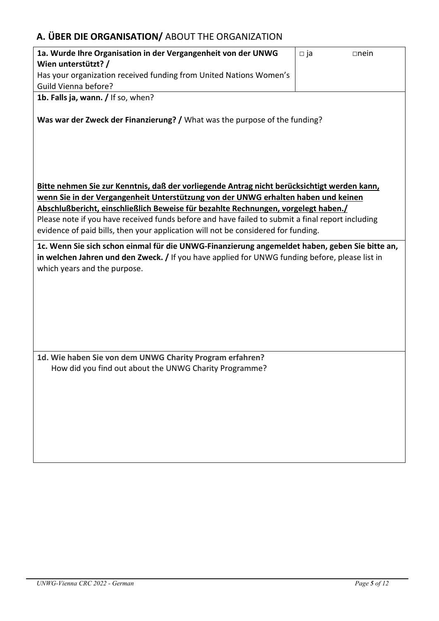## **A. ÜBER DIE ORGANISATION/** ABOUT THE ORGANIZATION

| 1a. Wurde Ihre Organisation in der Vergangenheit von der UNWG                                                                                                                                                                                                                                                                                                                                                                                                    | $\square$ ja | $\Box$ nein |  |
|------------------------------------------------------------------------------------------------------------------------------------------------------------------------------------------------------------------------------------------------------------------------------------------------------------------------------------------------------------------------------------------------------------------------------------------------------------------|--------------|-------------|--|
| Wien unterstützt? /                                                                                                                                                                                                                                                                                                                                                                                                                                              |              |             |  |
| Has your organization received funding from United Nations Women's                                                                                                                                                                                                                                                                                                                                                                                               |              |             |  |
| Guild Vienna before?                                                                                                                                                                                                                                                                                                                                                                                                                                             |              |             |  |
| 1b. Falls ja, wann. / If so, when?                                                                                                                                                                                                                                                                                                                                                                                                                               |              |             |  |
| Was war der Zweck der Finanzierung? / What was the purpose of the funding?                                                                                                                                                                                                                                                                                                                                                                                       |              |             |  |
| Bitte nehmen Sie zur Kenntnis, daß der vorliegende Antrag nicht berücksichtigt werden kann,<br>wenn Sie in der Vergangenheit Unterstützung von der UNWG erhalten haben und keinen<br>Abschlußbericht, einschließlich Beweise für bezahlte Rechnungen, vorgelegt haben./<br>Please note if you have received funds before and have failed to submit a final report including<br>evidence of paid bills, then your application will not be considered for funding. |              |             |  |
| 1c. Wenn Sie sich schon einmal für die UNWG-Finanzierung angemeldet haben, geben Sie bitte an,                                                                                                                                                                                                                                                                                                                                                                   |              |             |  |
| in welchen Jahren und den Zweck. / If you have applied for UNWG funding before, please list in<br>which years and the purpose.                                                                                                                                                                                                                                                                                                                                   |              |             |  |
|                                                                                                                                                                                                                                                                                                                                                                                                                                                                  |              |             |  |
|                                                                                                                                                                                                                                                                                                                                                                                                                                                                  |              |             |  |
|                                                                                                                                                                                                                                                                                                                                                                                                                                                                  |              |             |  |
| 1d. Wie haben Sie von dem UNWG Charity Program erfahren?                                                                                                                                                                                                                                                                                                                                                                                                         |              |             |  |
| How did you find out about the UNWG Charity Programme?                                                                                                                                                                                                                                                                                                                                                                                                           |              |             |  |
|                                                                                                                                                                                                                                                                                                                                                                                                                                                                  |              |             |  |
|                                                                                                                                                                                                                                                                                                                                                                                                                                                                  |              |             |  |
|                                                                                                                                                                                                                                                                                                                                                                                                                                                                  |              |             |  |
|                                                                                                                                                                                                                                                                                                                                                                                                                                                                  |              |             |  |
|                                                                                                                                                                                                                                                                                                                                                                                                                                                                  |              |             |  |
|                                                                                                                                                                                                                                                                                                                                                                                                                                                                  |              |             |  |
|                                                                                                                                                                                                                                                                                                                                                                                                                                                                  |              |             |  |
|                                                                                                                                                                                                                                                                                                                                                                                                                                                                  |              |             |  |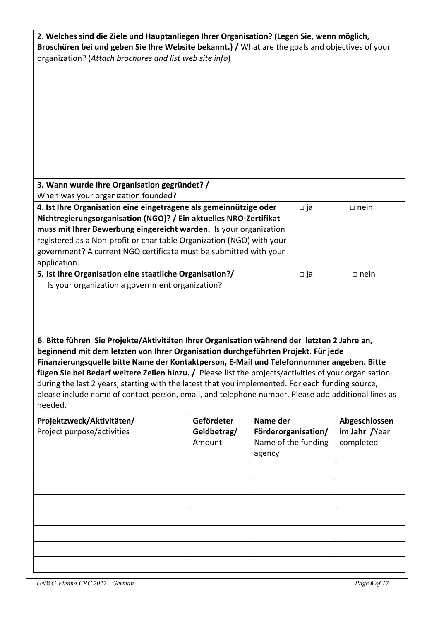| 2. Welches sind die Ziele und Hauptanliegen Ihrer Organisation? (Legen Sie, wenn möglich,<br>Broschüren bei und geben Sie Ihre Website bekannt.) / What are the goals and objectives of your<br>organization? (Attach brochures and list web site info)<br>3. Wann wurde Ihre Organisation gegründet? /                                                                                                                                                                                                                                                                                                                                                        |                       |                                                      |              |                            |
|----------------------------------------------------------------------------------------------------------------------------------------------------------------------------------------------------------------------------------------------------------------------------------------------------------------------------------------------------------------------------------------------------------------------------------------------------------------------------------------------------------------------------------------------------------------------------------------------------------------------------------------------------------------|-----------------------|------------------------------------------------------|--------------|----------------------------|
| When was your organization founded?                                                                                                                                                                                                                                                                                                                                                                                                                                                                                                                                                                                                                            |                       |                                                      |              |                            |
| 4. Ist Ihre Organisation eine eingetragene als gemeinnützige oder<br>$\square$ ja<br>$\Box$ nein<br>Nichtregierungsorganisation (NGO)? / Ein aktuelles NRO-Zertifikat<br>muss mit Ihrer Bewerbung eingereicht warden. Is your organization<br>registered as a Non-profit or charitable Organization (NGO) with your<br>government? A current NGO certificate must be submitted with your<br>application.                                                                                                                                                                                                                                                       |                       |                                                      |              |                            |
| 5. Ist Ihre Organisation eine staatliche Organisation?/                                                                                                                                                                                                                                                                                                                                                                                                                                                                                                                                                                                                        |                       |                                                      | $\square$ ja | $\Box$ nein                |
| Is your organization a government organization?<br>6. Bitte führen Sie Projekte/Aktivitäten Ihrer Organisation während der letzten 2 Jahre an,<br>beginnend mit dem letzten von Ihrer Organisation durchgeführten Projekt. Für jede<br>Finanzierungsquelle bitte Name der Kontaktperson, E-Mail und Telefonnummer angeben. Bitte<br>fügen Sie bei Bedarf weitere Zeilen hinzu. / Please list the projects/activities of your organisation<br>during the last 2 years, starting with the latest that you implemented. For each funding source,<br>please include name of contact person, email, and telephone number. Please add additional lines as<br>needed. |                       |                                                      |              |                            |
| Projektzweck/Aktivitäten/                                                                                                                                                                                                                                                                                                                                                                                                                                                                                                                                                                                                                                      | Gefördeter            | Name der                                             |              | Abgeschlossen              |
| Project purpose/activities                                                                                                                                                                                                                                                                                                                                                                                                                                                                                                                                                                                                                                     | Geldbetrag/<br>Amount | Förderorganisation/<br>Name of the funding<br>agency |              | im Jahr /Year<br>completed |
|                                                                                                                                                                                                                                                                                                                                                                                                                                                                                                                                                                                                                                                                |                       |                                                      |              |                            |
|                                                                                                                                                                                                                                                                                                                                                                                                                                                                                                                                                                                                                                                                |                       |                                                      |              |                            |
|                                                                                                                                                                                                                                                                                                                                                                                                                                                                                                                                                                                                                                                                |                       |                                                      |              |                            |
|                                                                                                                                                                                                                                                                                                                                                                                                                                                                                                                                                                                                                                                                |                       |                                                      |              |                            |
|                                                                                                                                                                                                                                                                                                                                                                                                                                                                                                                                                                                                                                                                |                       |                                                      |              |                            |
|                                                                                                                                                                                                                                                                                                                                                                                                                                                                                                                                                                                                                                                                |                       |                                                      |              |                            |
|                                                                                                                                                                                                                                                                                                                                                                                                                                                                                                                                                                                                                                                                |                       |                                                      |              |                            |
|                                                                                                                                                                                                                                                                                                                                                                                                                                                                                                                                                                                                                                                                |                       |                                                      |              |                            |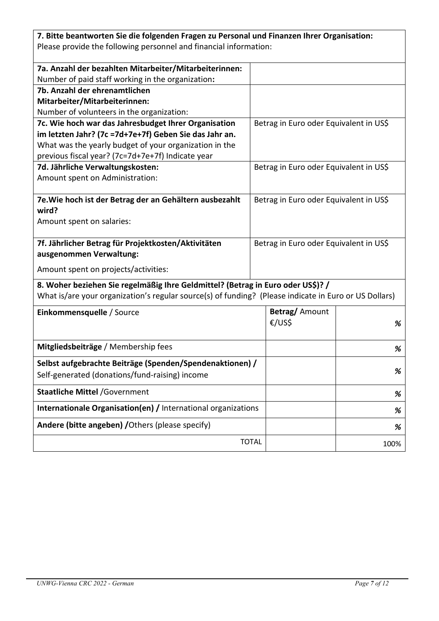| 7. Bitte beantworten Sie die folgenden Fragen zu Personal und Finanzen Ihrer Organisation:            |              |                                        |      |
|-------------------------------------------------------------------------------------------------------|--------------|----------------------------------------|------|
| Please provide the following personnel and financial information:                                     |              |                                        |      |
|                                                                                                       |              |                                        |      |
| 7a. Anzahl der bezahlten Mitarbeiter/Mitarbeiterinnen:                                                |              |                                        |      |
| Number of paid staff working in the organization:                                                     |              |                                        |      |
| 7b. Anzahl der ehrenamtlichen                                                                         |              |                                        |      |
| Mitarbeiter/Mitarbeiterinnen:                                                                         |              |                                        |      |
| Number of volunteers in the organization:                                                             |              |                                        |      |
| 7c. Wie hoch war das Jahresbudget Ihrer Organisation                                                  |              | Betrag in Euro oder Equivalent in US\$ |      |
| im letzten Jahr? (7c =7d+7e+7f) Geben Sie das Jahr an.                                                |              |                                        |      |
| What was the yearly budget of your organization in the                                                |              |                                        |      |
| previous fiscal year? (7c=7d+7e+7f) Indicate year                                                     |              | Betrag in Euro oder Equivalent in US\$ |      |
| 7d. Jährliche Verwaltungskosten:<br>Amount spent on Administration:                                   |              |                                        |      |
|                                                                                                       |              |                                        |      |
| 7e. Wie hoch ist der Betrag der an Gehältern ausbezahlt                                               |              | Betrag in Euro oder Equivalent in US\$ |      |
| wird?                                                                                                 |              |                                        |      |
| Amount spent on salaries:                                                                             |              |                                        |      |
|                                                                                                       |              |                                        |      |
| 7f. Jährlicher Betrag für Projektkosten/Aktivitäten                                                   |              | Betrag in Euro oder Equivalent in US\$ |      |
| ausgenommen Verwaltung:                                                                               |              |                                        |      |
| Amount spent on projects/activities:                                                                  |              |                                        |      |
| 8. Woher beziehen Sie regelmäßig Ihre Geldmittel? (Betrag in Euro oder US\$)? /                       |              |                                        |      |
| What is/are your organization's regular source(s) of funding? (Please indicate in Euro or US Dollars) |              |                                        |      |
| Einkommensquelle / Source                                                                             |              | Betrag/ Amount                         |      |
|                                                                                                       |              | €/US\$                                 | %    |
|                                                                                                       |              |                                        |      |
| Mitgliedsbeiträge / Membership fees                                                                   |              |                                        | %    |
| Selbst aufgebrachte Beiträge (Spenden/Spendenaktionen) /                                              |              |                                        |      |
| Self-generated (donations/fund-raising) income                                                        |              |                                        | %    |
| <b>Staatliche Mittel / Government</b>                                                                 |              |                                        | %    |
| Internationale Organisation(en) / International organizations                                         |              |                                        | %    |
| Andere (bitte angeben) / Others (please specify)                                                      |              |                                        | %    |
|                                                                                                       | <b>TOTAL</b> |                                        | 100% |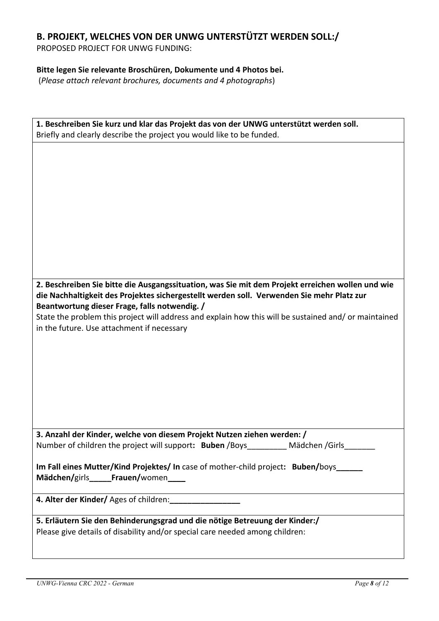# **B. PROJEKT, WELCHES VON DER UNWG UNTERSTÜTZT WERDEN SOLL:/**

PROPOSED PROJECT FOR UNWG FUNDING:

## **Bitte legen Sie relevante Broschüren, Dokumente und 4 Photos bei.**

(*Please attach relevant brochures, documents and 4 photographs*)

| 1. Beschreiben Sie kurz und klar das Projekt das von der UNWG unterstützt werden soll.                                                     |  |  |
|--------------------------------------------------------------------------------------------------------------------------------------------|--|--|
| Briefly and clearly describe the project you would like to be funded.                                                                      |  |  |
|                                                                                                                                            |  |  |
| 2. Beschreiben Sie bitte die Ausgangssituation, was Sie mit dem Projekt erreichen wollen und wie                                           |  |  |
| die Nachhaltigkeit des Projektes sichergestellt werden soll. Verwenden Sie mehr Platz zur<br>Beantwortung dieser Frage, falls notwendig. / |  |  |
| State the problem this project will address and explain how this will be sustained and/ or maintained                                      |  |  |
| in the future. Use attachment if necessary                                                                                                 |  |  |
|                                                                                                                                            |  |  |
|                                                                                                                                            |  |  |
|                                                                                                                                            |  |  |
|                                                                                                                                            |  |  |
|                                                                                                                                            |  |  |
|                                                                                                                                            |  |  |
| 3. Anzahl der Kinder, welche von diesem Projekt Nutzen ziehen werden: /                                                                    |  |  |
| Number of children the project will support: Buben /Boys_<br>Mädchen /Girls                                                                |  |  |
| Im Fall eines Mutter/Kind Projektes/ In case of mother-child project: Buben/boys<br>Mädchen/girls______Frauen/women_____                   |  |  |
|                                                                                                                                            |  |  |
|                                                                                                                                            |  |  |
| 5. Erläutern Sie den Behinderungsgrad und die nötige Betreuung der Kinder:/                                                                |  |  |
| Please give details of disability and/or special care needed among children:                                                               |  |  |
|                                                                                                                                            |  |  |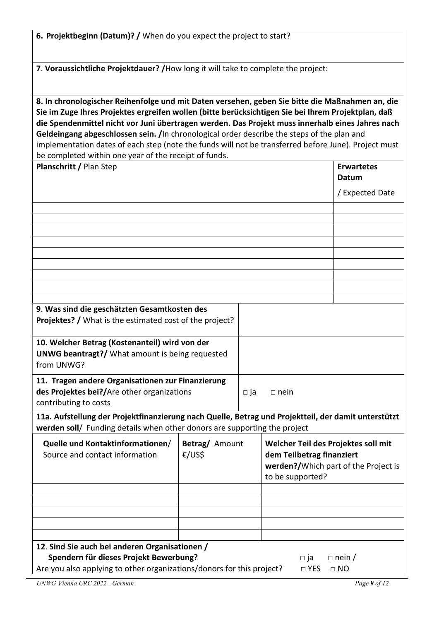| 6. Projektbeginn (Datum)? / When do you expect the project to start?                                                                                                                                                                                                                                                                                                                                                                                                                                                                                                     |                          |                                                                                                                              |                            |
|--------------------------------------------------------------------------------------------------------------------------------------------------------------------------------------------------------------------------------------------------------------------------------------------------------------------------------------------------------------------------------------------------------------------------------------------------------------------------------------------------------------------------------------------------------------------------|--------------------------|------------------------------------------------------------------------------------------------------------------------------|----------------------------|
| 7. Voraussichtliche Projektdauer? / How long it will take to complete the project:                                                                                                                                                                                                                                                                                                                                                                                                                                                                                       |                          |                                                                                                                              |                            |
| 8. In chronologischer Reihenfolge und mit Daten versehen, geben Sie bitte die Maßnahmen an, die<br>Sie im Zuge Ihres Projektes ergreifen wollen (bitte berücksichtigen Sie bei Ihrem Projektplan, daß<br>die Spendenmittel nicht vor Juni übertragen werden. Das Projekt muss innerhalb eines Jahres nach<br>Geldeingang abgeschlossen sein. /In chronological order describe the steps of the plan and<br>implementation dates of each step (note the funds will not be transferred before June). Project must<br>be completed within one year of the receipt of funds. |                          |                                                                                                                              |                            |
| Planschritt / Plan Step                                                                                                                                                                                                                                                                                                                                                                                                                                                                                                                                                  |                          |                                                                                                                              | <b>Erwartetes</b><br>Datum |
|                                                                                                                                                                                                                                                                                                                                                                                                                                                                                                                                                                          |                          |                                                                                                                              | / Expected Date            |
|                                                                                                                                                                                                                                                                                                                                                                                                                                                                                                                                                                          |                          |                                                                                                                              |                            |
|                                                                                                                                                                                                                                                                                                                                                                                                                                                                                                                                                                          |                          |                                                                                                                              |                            |
|                                                                                                                                                                                                                                                                                                                                                                                                                                                                                                                                                                          |                          |                                                                                                                              |                            |
| 9. Was sind die geschätzten Gesamtkosten des<br>Projektes? / What is the estimated cost of the project?                                                                                                                                                                                                                                                                                                                                                                                                                                                                  |                          |                                                                                                                              |                            |
| 10. Welcher Betrag (Kostenanteil) wird von der<br><b>UNWG beantragt?/</b> What amount is being requested<br>from UNWG?                                                                                                                                                                                                                                                                                                                                                                                                                                                   |                          |                                                                                                                              |                            |
| 11. Tragen andere Organisationen zur Finanzierung<br>des Projektes bei?/Are other organizations<br>contributing to costs                                                                                                                                                                                                                                                                                                                                                                                                                                                 | $\Box$ ja                | $\Box$ nein                                                                                                                  |                            |
| 11a. Aufstellung der Projektfinanzierung nach Quelle, Betrag und Projektteil, der damit unterstützt<br>werden soll/ Funding details when other donors are supporting the project                                                                                                                                                                                                                                                                                                                                                                                         |                          |                                                                                                                              |                            |
| Quelle und Kontaktinformationen/<br>Source and contact information                                                                                                                                                                                                                                                                                                                                                                                                                                                                                                       | Betrag/ Amount<br>€/US\$ | Welcher Teil des Projektes soll mit<br>dem Teilbetrag finanziert<br>werden?/Which part of the Project is<br>to be supported? |                            |
|                                                                                                                                                                                                                                                                                                                                                                                                                                                                                                                                                                          |                          |                                                                                                                              |                            |
| 12. Sind Sie auch bei anderen Organisationen /<br>Spendern für dieses Projekt Bewerbung?<br>$\Box$ nein /<br>$\Box$ ja<br>Are you also applying to other organizations/donors for this project?<br>$\square$ YES<br>$\Box$ NO                                                                                                                                                                                                                                                                                                                                            |                          |                                                                                                                              |                            |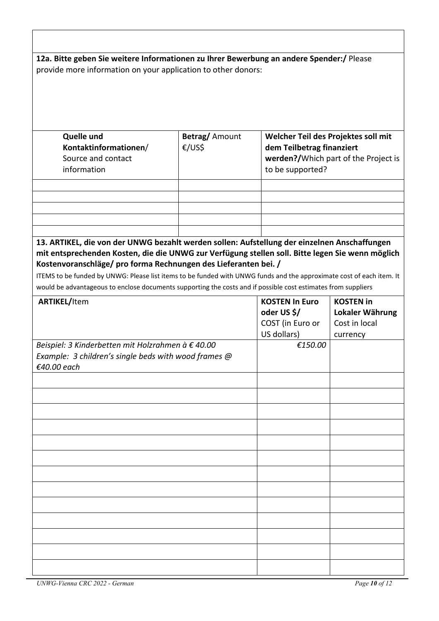|                                                                                                                                                                                                                                                                                                                                                                                                                                                                                                              | 12a. Bitte geben Sie weitere Informationen zu Ihrer Bewerbung an andere Spender:/ Please<br>provide more information on your application to other donors: |                                                                                      |                                                                  |
|--------------------------------------------------------------------------------------------------------------------------------------------------------------------------------------------------------------------------------------------------------------------------------------------------------------------------------------------------------------------------------------------------------------------------------------------------------------------------------------------------------------|-----------------------------------------------------------------------------------------------------------------------------------------------------------|--------------------------------------------------------------------------------------|------------------------------------------------------------------|
|                                                                                                                                                                                                                                                                                                                                                                                                                                                                                                              |                                                                                                                                                           |                                                                                      |                                                                  |
| <b>Quelle und</b><br>Kontaktinformationen/<br>Source and contact<br>information                                                                                                                                                                                                                                                                                                                                                                                                                              | <b>Betrag/Amount</b><br>€/US\$                                                                                                                            | Welcher Teil des Projektes soll mit<br>dem Teilbetrag finanziert<br>to be supported? | werden?/Which part of the Project is                             |
|                                                                                                                                                                                                                                                                                                                                                                                                                                                                                                              |                                                                                                                                                           |                                                                                      |                                                                  |
|                                                                                                                                                                                                                                                                                                                                                                                                                                                                                                              |                                                                                                                                                           |                                                                                      |                                                                  |
| 13. ARTIKEL, die von der UNWG bezahlt werden sollen: Aufstellung der einzelnen Anschaffungen<br>mit entsprechenden Kosten, die die UNWG zur Verfügung stellen soll. Bitte legen Sie wenn möglich<br>Kostenvoranschläge/ pro forma Rechnungen des Lieferanten bei. /<br>ITEMS to be funded by UNWG: Please list items to be funded with UNWG funds and the approximate cost of each item. It<br>would be advantageous to enclose documents supporting the costs and if possible cost estimates from suppliers |                                                                                                                                                           |                                                                                      |                                                                  |
| <b>ARTIKEL/Item</b>                                                                                                                                                                                                                                                                                                                                                                                                                                                                                          |                                                                                                                                                           | <b>KOSTEN In Euro</b><br>oder US \$/<br>COST (in Euro or<br>US dollars)              | <b>KOSTEN in</b><br>Lokaler Währung<br>Cost in local<br>currency |
| Beispiel: 3 Kinderbetten mit Holzrahmen à € 40.00<br>Example: 3 children's single beds with wood frames @<br>€40.00 each                                                                                                                                                                                                                                                                                                                                                                                     |                                                                                                                                                           | €150.00                                                                              |                                                                  |
|                                                                                                                                                                                                                                                                                                                                                                                                                                                                                                              |                                                                                                                                                           |                                                                                      |                                                                  |
|                                                                                                                                                                                                                                                                                                                                                                                                                                                                                                              |                                                                                                                                                           |                                                                                      |                                                                  |
|                                                                                                                                                                                                                                                                                                                                                                                                                                                                                                              |                                                                                                                                                           |                                                                                      |                                                                  |
|                                                                                                                                                                                                                                                                                                                                                                                                                                                                                                              |                                                                                                                                                           |                                                                                      |                                                                  |
|                                                                                                                                                                                                                                                                                                                                                                                                                                                                                                              |                                                                                                                                                           |                                                                                      |                                                                  |
|                                                                                                                                                                                                                                                                                                                                                                                                                                                                                                              |                                                                                                                                                           |                                                                                      |                                                                  |
|                                                                                                                                                                                                                                                                                                                                                                                                                                                                                                              |                                                                                                                                                           |                                                                                      |                                                                  |
|                                                                                                                                                                                                                                                                                                                                                                                                                                                                                                              |                                                                                                                                                           |                                                                                      |                                                                  |
|                                                                                                                                                                                                                                                                                                                                                                                                                                                                                                              |                                                                                                                                                           |                                                                                      |                                                                  |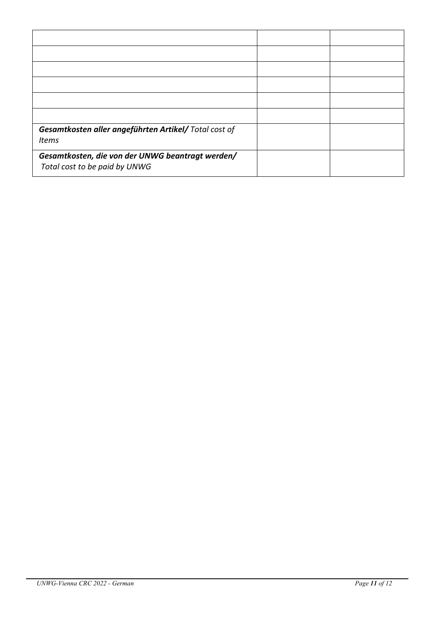| Gesamtkosten aller angeführten Artikel/ Total cost of<br><b>Items</b>             |  |
|-----------------------------------------------------------------------------------|--|
| Gesamtkosten, die von der UNWG beantragt werden/<br>Total cost to be paid by UNWG |  |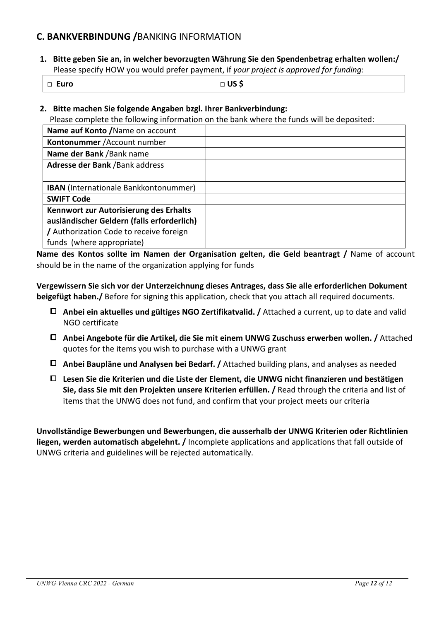## **C. BANKVERBINDUNG /**BANKING INFORMATION

**1. Bitte geben Sie an, in welcher bevorzugten Währung Sie den Spendenbetrag erhalten wollen:/**  Please specify HOW you would prefer payment, if *your project is approved for funding*:

□ **Euro** □ **US \$** 

**2. Bitte machen Sie folgende Angaben bzgl. Ihrer Bankverbindung:** 

Please complete the following information on the bank where the funds will be deposited:

| Name auf Konto / Name on account             |  |
|----------------------------------------------|--|
| Kontonummer / Account number                 |  |
| Name der Bank / Bank name                    |  |
| Adresse der Bank / Bank address              |  |
|                                              |  |
| <b>IBAN</b> (Internationale Bankkontonummer) |  |
| <b>SWIFT Code</b>                            |  |
| Kennwort zur Autorisierung des Erhalts       |  |
| ausländischer Geldern (falls erforderlich)   |  |
| / Authorization Code to receive foreign      |  |
| funds (where appropriate)                    |  |

**Name des Kontos sollte im Namen der Organisation gelten, die Geld beantragt /** Name of account should be in the name of the organization applying for funds

**Vergewissern Sie sich vor der Unterzeichnung dieses Antrages, dass Sie alle erforderlichen Dokument beigefügt haben./** Before for signing this application, check that you attach all required documents.

- **Anbei ein aktuelles und gültiges NGO Zertifikatvalid. /** Attached a current, up to date and valid NGO certificate
- **Anbei Angebote für die Artikel, die Sie mit einem UNWG Zuschuss erwerben wollen. /** Attached quotes for the items you wish to purchase with a UNWG grant
- **Anbei Baupläne und Analysen bei Bedarf. /** Attached building plans, and analyses as needed
- **Lesen Sie die Kriterien und die Liste der Element, die UNWG nicht finanzieren und bestätigen Sie, dass Sie mit den Projekten unsere Kriterien erfüllen. /** Read through the criteria and list of items that the UNWG does not fund, and confirm that your project meets our criteria

**Unvollständige Bewerbungen und Bewerbungen, die ausserhalb der UNWG Kriterien oder Richtlinien liegen, werden automatisch abgelehnt. /** Incomplete applications and applications that fall outside of UNWG criteria and guidelines will be rejected automatically.